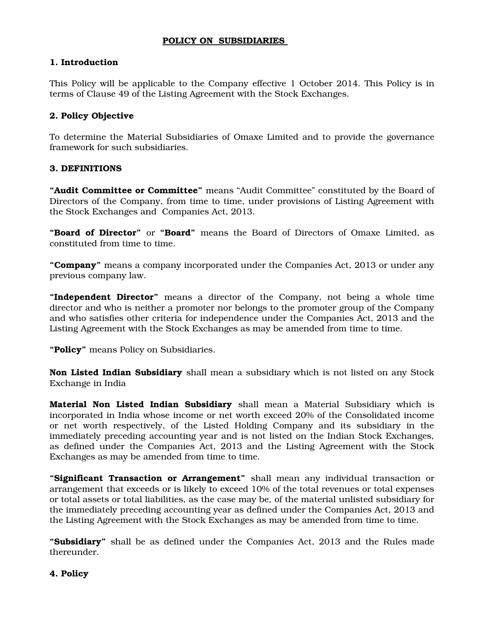## **POLICY ON SUBSIDIARIES**

### **1. Introduction**

This Policy will be applicable to the Company effective 1 October 2014. This Policy is in terms of Clause 49 of the Listing Agreement with the Stock Exchanges.

## **2. Policy Objective**

To determine the Material Subsidiaries of Omaxe Limited and to provide the governance framework for such subsidiaries.

### **3. DEFINITIONS**

**"Audit Committee or Committee"** means "Audit Committee" constituted by the Board of Directors of the Company, from time to time, under provisions of Listing Agreement with the Stock Exchanges and Companies Act, 2013.

**"Board of Director"** or **"Board"** means the Board of Directors of Omaxe Limited, as constituted from time to time.

**"Company"** means a company incorporated under the Companies Act, 2013 or under any previous company law.

**"Independent Director"** means a director of the Company, not being a whole time director and who is neither a promoter nor belongs to the promoter group of the Company and who satisfies other criteria for independence under the Companies Act, 2013 and the Listing Agreement with the Stock Exchanges as may be amended from time to time.

**"Policy"** means Policy on Subsidiaries.

**Non Listed Indian Subsidiary** shall mean a subsidiary which is not listed on any Stock Exchange in India

**Material Non Listed Indian Subsidiary** shall mean a Material Subsidiary which is incorporated in India whose income or net worth exceed 20% of the Consolidated income or net worth respectively, of the Listed Holding Company and its subsidiary in the immediately preceding accounting year and is not listed on the Indian Stock Exchanges, as defined under the Companies Act, 2013 and the Listing Agreement with the Stock Exchanges as may be amended from time to time.

**"Significant Transaction or Arrangement"** shall mean any individual transaction or arrangement that exceeds or is likely to exceed 10% of the total revenues or total expenses or total assets or total liabilities, as the case may be, of the material unlisted subsidiary for the immediately preceding accounting year as defined under the Companies Act, 2013 and the Listing Agreement with the Stock Exchanges as may be amended from time to time.

**"Subsidiary"** shall be as defined under the Companies Act, 2013 and the Rules made thereunder.

#### **4. Policy**